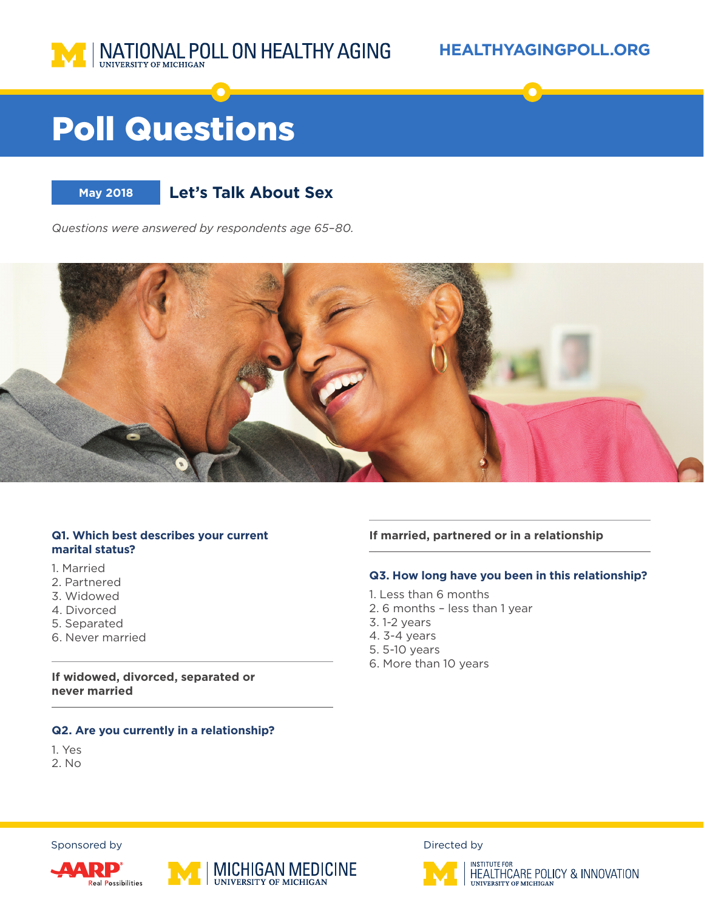

#### **HEALTHYAGINGPOLL.ORG**

# Poll Questions



### **May 2018 Let's Talk About Sex**

*Questions were answered by respondents age 65–80.*



#### **Q1. Which best describes your current marital status?**

- 1. Married
- 2. Partnered
- 3. Widowed
- 4. Divorced
- 5. Separated
- 6. Never married

**If widowed, divorced, separated or never married**

#### **Q2. Are you currently in a relationship?**

- 1. Yes
- 2. No

**If married, partnered or in a relationship**

#### **Q3. How long have you been in this relationship?**

- 1. Less than 6 months
- 2. 6 months less than 1 year
- 3. 1-2 years
- 4. 3-4 years
- 5. 5-10 years
- 6. More than 10 years







Sponsored by  $D$  Directed by  $D$ 



INSTITUTE FOR<br>HEALTHCARE POLICY & INNOVATION UNIVERSITY OF MICHIGAN